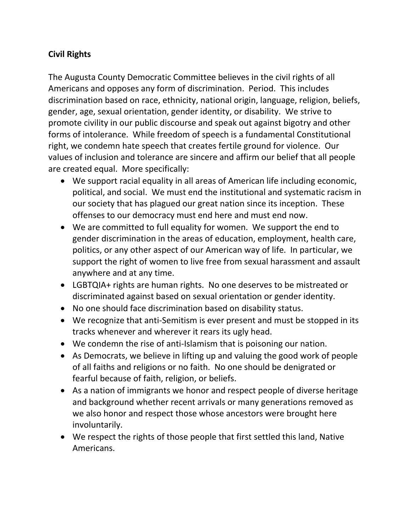## **Civil Rights**

The Augusta County Democratic Committee believes in the civil rights of all Americans and opposes any form of discrimination. Period. This includes discrimination based on race, ethnicity, national origin, language, religion, beliefs, gender, age, sexual orientation, gender identity, or disability. We strive to promote civility in our public discourse and speak out against bigotry and other forms of intolerance. While freedom of speech is a fundamental Constitutional right, we condemn hate speech that creates fertile ground for violence. Our values of inclusion and tolerance are sincere and affirm our belief that all people are created equal. More specifically:

- We support racial equality in all areas of American life including economic, political, and social. We must end the institutional and systematic racism in our society that has plagued our great nation since its inception. These offenses to our democracy must end here and must end now.
- We are committed to full equality for women. We support the end to gender discrimination in the areas of education, employment, health care, politics, or any other aspect of our American way of life. In particular, we support the right of women to live free from sexual harassment and assault anywhere and at any time.
- LGBTQIA+ rights are human rights. No one deserves to be mistreated or discriminated against based on sexual orientation or gender identity.
- No one should face discrimination based on disability status.
- We recognize that anti-Semitism is ever present and must be stopped in its tracks whenever and wherever it rears its ugly head.
- We condemn the rise of anti-Islamism that is poisoning our nation.
- As Democrats, we believe in lifting up and valuing the good work of people of all faiths and religions or no faith. No one should be denigrated or fearful because of faith, religion, or beliefs.
- As a nation of immigrants we honor and respect people of diverse heritage and background whether recent arrivals or many generations removed as we also honor and respect those whose ancestors were brought here involuntarily.
- We respect the rights of those people that first settled this land, Native Americans.